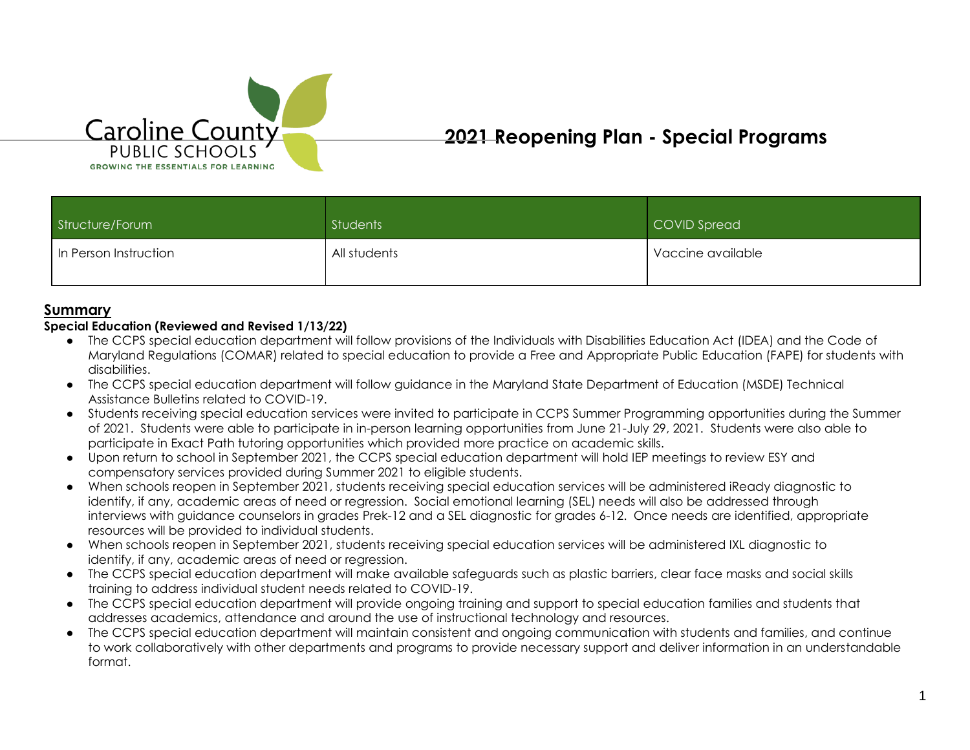

# **2021 Reopening Plan - Special Programs**

| Structure/Forum       | Students     | COVID Spread      |
|-----------------------|--------------|-------------------|
| In Person Instruction | All students | Vaccine available |

### **Summary**

#### **Special Education (Reviewed and Revised 1/13/22)**

- The CCPS special education department will follow provisions of the Individuals with Disabilities Education Act (IDEA) and the Code of Maryland Regulations (COMAR) related to special education to provide a Free and Appropriate Public Education (FAPE) for students with disabilities.
- The CCPS special education department will follow guidance in the Maryland State Department of Education (MSDE) Technical Assistance Bulletins related to COVID-19.
- Students receiving special education services were invited to participate in CCPS Summer Programming opportunities during the Summer of 2021. Students were able to participate in in-person learning opportunities from June 21-July 29, 2021. Students were also able to participate in Exact Path tutoring opportunities which provided more practice on academic skills.
- Upon return to school in September 2021, the CCPS special education department will hold IEP meetings to review ESY and compensatory services provided during Summer 2021 to eligible students.
- When schools reopen in September 2021, students receiving special education services will be administered iReady diagnostic to identify, if any, academic areas of need or regression. Social emotional learning (SEL) needs will also be addressed through interviews with guidance counselors in grades Prek-12 and a SEL diagnostic for grades 6-12. Once needs are identified, appropriate resources will be provided to individual students.
- When schools reopen in September 2021, students receiving special education services will be administered IXL diagnostic to identify, if any, academic areas of need or regression.
- The CCPS special education department will make available safeguards such as plastic barriers, clear face masks and social skills training to address individual student needs related to COVID-19.
- The CCPS special education department will provide ongoing training and support to special education families and students that addresses academics, attendance and around the use of instructional technology and resources.
- The CCPS special education department will maintain consistent and ongoing communication with students and families, and continue to work collaboratively with other departments and programs to provide necessary support and deliver information in an understandable format.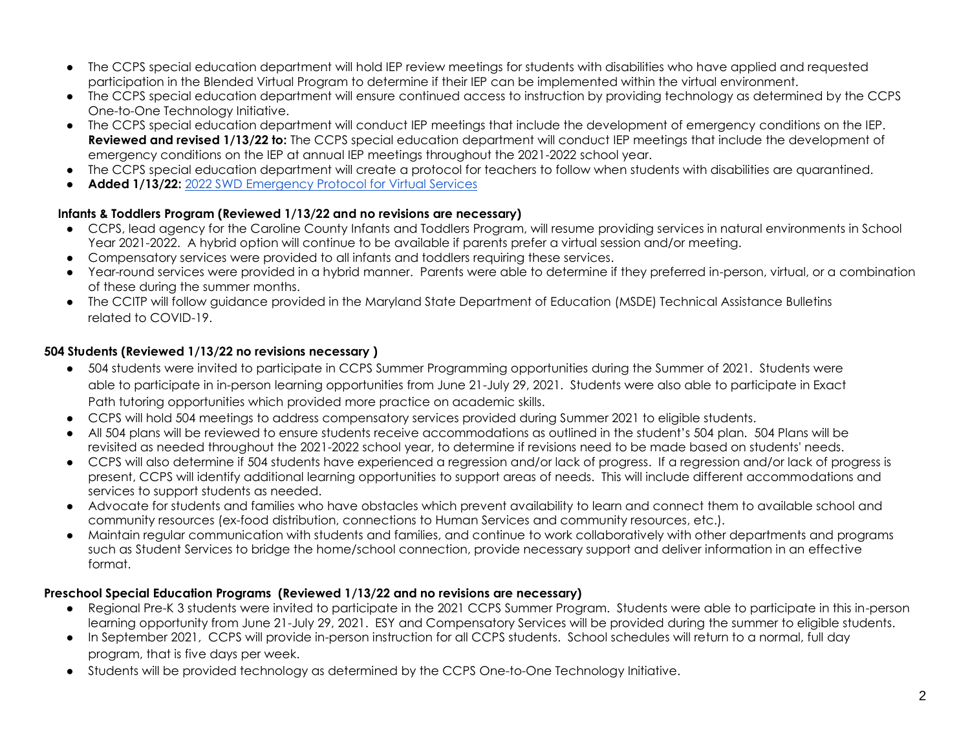- The CCPS special education department will hold IEP review meetings for students with disabilities who have applied and requested participation in the Blended Virtual Program to determine if their IEP can be implemented within the virtual environment.
- The CCPS special education department will ensure continued access to instruction by providing technology as determined by the CCPS One-to-One Technology Initiative.
- The CCPS special education department will conduct IEP meetings that include the development of emergency conditions on the IEP. **Reviewed and revised 1/13/22 to:** The CCPS special education department will conduct IEP meetings that include the development of emergency conditions on the IEP at annual IEP meetings throughout the 2021-2022 school year.
- The CCPS special education department will create a protocol for teachers to follow when students with disabilities are quarantined.
- Added 1/13/22: [2022 SWD Emergency Protocol for Virtual Services](https://docs.google.com/document/d/1UOeFQDRsbSLYdmrkAQOjnoZmJhVKpAOs2SpbcKesDgE/edit)

### **Infants & Toddlers Program (Reviewed 1/13/22 and no revisions are necessary)**

- CCPS, lead agency for the Caroline County Infants and Toddlers Program, will resume providing services in natural environments in School Year 2021-2022. A hybrid option will continue to be available if parents prefer a virtual session and/or meeting.
- Compensatory services were provided to all infants and toddlers requiring these services.
- Year-round services were provided in a hybrid manner. Parents were able to determine if they preferred in-person, virtual, or a combination of these during the summer months.
- The CCITP will follow guidance provided in the Maryland State Department of Education (MSDE) Technical Assistance Bulletins related to COVID-19.

### **504 Students (Reviewed 1/13/22 no revisions necessary )**

- 504 students were invited to participate in CCPS Summer Programming opportunities during the Summer of 2021. Students were able to participate in in-person learning opportunities from June 21-July 29, 2021. Students were also able to participate in Exact Path tutoring opportunities which provided more practice on academic skills.
- CCPS will hold 504 meetings to address compensatory services provided during Summer 2021 to eligible students.
- All 504 plans will be reviewed to ensure students receive accommodations as outlined in the student's 504 plan. 504 Plans will be revisited as needed throughout the 2021-2022 school year, to determine if revisions need to be made based on students' needs.
- CCPS will also determine if 504 students have experienced a regression and/or lack of progress. If a regression and/or lack of progress is present, CCPS will identify additional learning opportunities to support areas of needs. This will include different accommodations and services to support students as needed.
- Advocate for students and families who have obstacles which prevent availability to learn and connect them to available school and community resources (ex-food distribution, connections to Human Services and community resources, etc.).
- Maintain regular communication with students and families, and continue to work collaboratively with other departments and programs such as Student Services to bridge the home/school connection, provide necessary support and deliver information in an effective format.

### **Preschool Special Education Programs (Reviewed 1/13/22 and no revisions are necessary)**

- Regional Pre-K 3 students were invited to participate in the 2021 CCPS Summer Program. Students were able to participate in this in-person learning opportunity from June 21-July 29, 2021. ESY and Compensatory Services will be provided during the summer to eligible students.
- In September 2021, CCPS will provide in-person instruction for all CCPS students. School schedules will return to a normal, full day program, that is five days per week.
- Students will be provided technology as determined by the CCPS One-to-One Technology Initiative.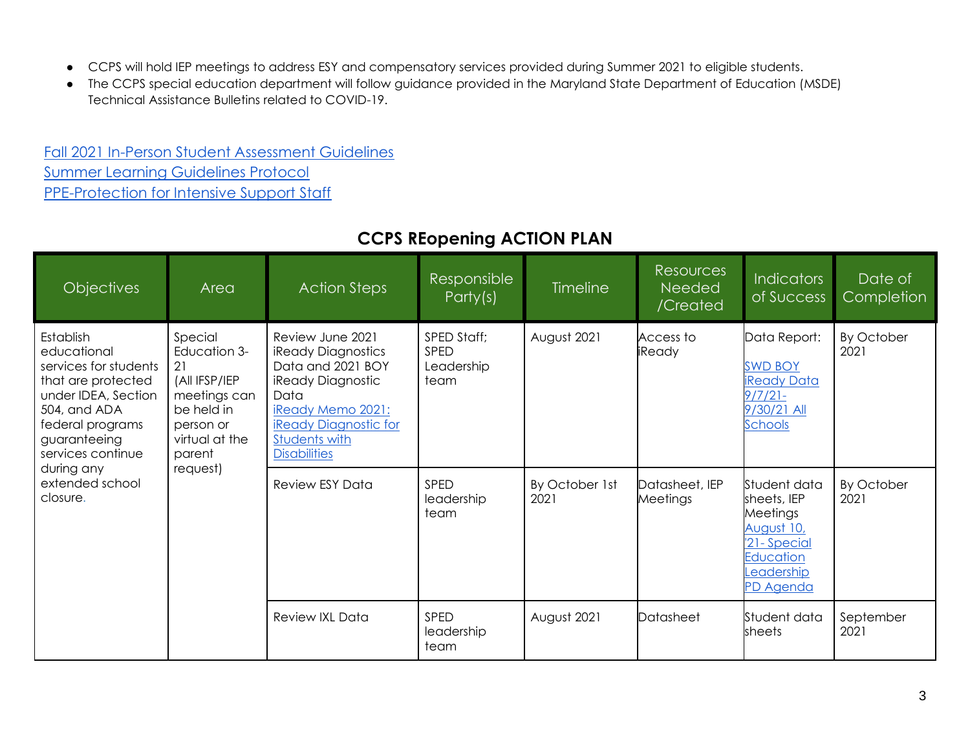- CCPS will hold IEP meetings to address ESY and compensatory services provided during Summer 2021 to eligible students.
- The CCPS special education department will follow guidance provided in the Maryland State Department of Education (MSDE) Technical Assistance Bulletins related to COVID-19.

[Fall 2021 In-Person Student Assessment Guidelines](https://docs.google.com/document/d/1An4pPyb1BXl5lsRHOhn1O51CB8E7lPTvrOum-sPy5oA/edit?usp=sharing) [Summer Learning Guidelines Protocol](https://docs.google.com/document/d/1EzqmWEH0zW2JVn1nmPMLxJLe6TrFV1pVfejkJs0Uq5Q/edit?ts=5ef0d1c2) [PPE-Protection for Intensive Support Staff](https://docs.google.com/document/d/1CA_9VMlS09-gwyhXLtOpSGe1s1ldgRmW5H2BDyeLtzo/edit#heading=h.7smdm84srmcx)

| <b>Objectives</b>                                                                                                                                                                                                    | Area                                                                                                                  | <b>Action Steps</b>                                                                                                                                                                          | Responsible<br>Party(s)                          | Timeline               | <b>Resources</b><br><b>Needed</b><br>/Created | <b>Indicators</b><br>of Success                                                                             | Date of<br>Completion |
|----------------------------------------------------------------------------------------------------------------------------------------------------------------------------------------------------------------------|-----------------------------------------------------------------------------------------------------------------------|----------------------------------------------------------------------------------------------------------------------------------------------------------------------------------------------|--------------------------------------------------|------------------------|-----------------------------------------------|-------------------------------------------------------------------------------------------------------------|-----------------------|
| Establish<br>educational<br>services for students<br>that are protected<br>under IDEA, Section<br>504, and ADA<br>federal programs<br>guaranteeing<br>services continue<br>during any<br>extended school<br>closure. | Special<br>Education 3-<br>21<br>(All IFSP/IEP<br>meetings can<br>be held in<br>person or<br>virtual at the<br>parent | Review June 2021<br><b>iReady Diagnostics</b><br>Data and 2021 BOY<br>iReady Diagnostic<br>Data<br>iReady Memo 2021:<br><b>iReady Diagnostic for</b><br>Students with<br><b>Disabilities</b> | SPED Staff;<br><b>SPED</b><br>Leadership<br>team | August 2021            | Access to<br>iReady                           | Data Report:<br><b>SWD BOY</b><br><b>iReady Data</b><br>$9/7/21 -$<br>9/30/21 All<br>Schools                | By October<br>2021    |
|                                                                                                                                                                                                                      | request)                                                                                                              | <b>Review ESY Data</b>                                                                                                                                                                       | <b>SPED</b><br>leadership<br>team                | By October 1st<br>2021 | Datasheet, IEP<br>Meetings                    | Student data<br>sheets, IEP<br>Meetings<br>August 10,<br>'21-Special<br>Education<br>eadership<br>PD Agenda | By October<br>2021    |
|                                                                                                                                                                                                                      |                                                                                                                       | <b>Review IXL Data</b>                                                                                                                                                                       | SPED<br>leadership<br>team                       | August 2021            | Datasheet                                     | Student data<br>sheets                                                                                      | September<br>2021     |

## **CCPS REopening ACTION PLAN**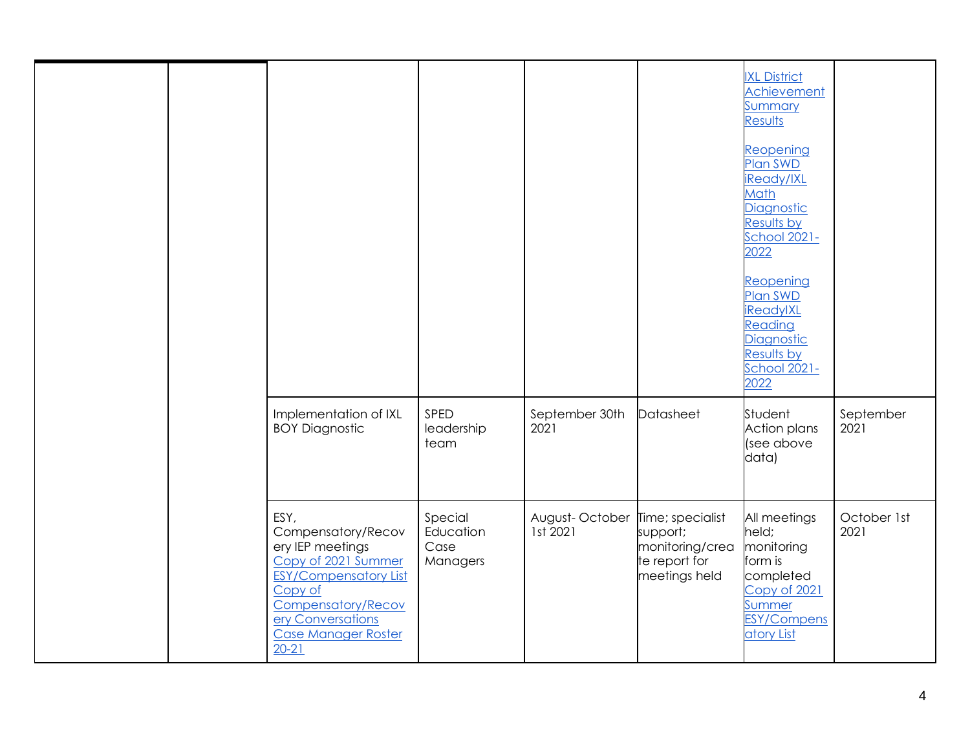|  |                                                                                                                                                                                                        |                                          |                                             |                                                               | <b>IXL District</b><br>Achievement<br><u>Summary</u><br>Results<br>Reopening<br><b>Plan SWD</b><br>iReady/IXL<br>Math<br>Diagnostic<br>Results by<br><b>School 2021-</b><br>2022<br>Reopening<br>Plan SWD<br><u>iReadylXL</u><br>Reading<br><b>Diagnostic</b><br>Results by<br>School 2021-<br>2022 |                     |
|--|--------------------------------------------------------------------------------------------------------------------------------------------------------------------------------------------------------|------------------------------------------|---------------------------------------------|---------------------------------------------------------------|-----------------------------------------------------------------------------------------------------------------------------------------------------------------------------------------------------------------------------------------------------------------------------------------------------|---------------------|
|  | Implementation of IXL<br><b>BOY Diagnostic</b>                                                                                                                                                         | SPED<br>leadership<br>team               | September 30th<br>2021                      | Datasheet                                                     | Student<br><b>Action plans</b><br>(see above<br>data)                                                                                                                                                                                                                                               | September<br>2021   |
|  | ESY,<br>Compensatory/Recov<br>ery IEP meetings<br>Copy of 2021 Summer<br><b>ESY/Compensatory List</b><br>Copy of<br><b>Compensatory/Recov</b><br>ery Conversations<br>Case Manager Roster<br>$20 - 21$ | Special<br>Education<br>Case<br>Managers | August-October Time; specialist<br>1st 2021 | support;<br>monitoring/crea<br>te report for<br>meetings held | All meetings<br>held;<br>monitoring<br>form is<br>completed<br>Copy of 2021<br><b>Summer</b><br><b>ESY/Compens</b><br>atory List                                                                                                                                                                    | October 1st<br>2021 |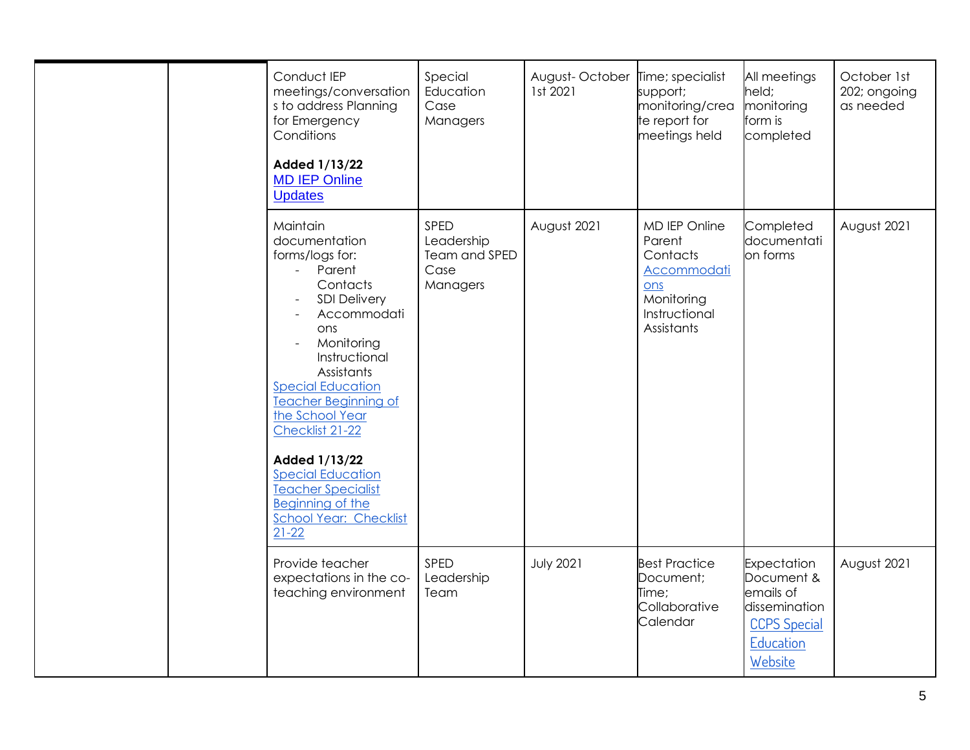|  | Conduct IEP<br>meetings/conversation<br>s to address Planning<br>for Emergency<br>Conditions<br>Added 1/13/22<br><b>MD IEP Online</b><br><b>Updates</b>                                                                                                                                                                                                                                                                                 | Special<br>Education<br>Case<br>Managers                | August-October<br>1st 2021 | Time; specialist<br>support;<br>monitoring/crea<br>te report for<br>meetings held                      | All meetings<br>held;<br>monitoring<br>form is<br>completed                                            | October 1st<br>202; ongoing<br>as needed |
|--|-----------------------------------------------------------------------------------------------------------------------------------------------------------------------------------------------------------------------------------------------------------------------------------------------------------------------------------------------------------------------------------------------------------------------------------------|---------------------------------------------------------|----------------------------|--------------------------------------------------------------------------------------------------------|--------------------------------------------------------------------------------------------------------|------------------------------------------|
|  | Maintain<br>documentation<br>forms/logs for:<br>Parent<br>$\omega_{\rm{max}}$<br>Contacts<br><b>SDI Delivery</b><br>Accommodati<br>ons<br>Monitoring<br>Instructional<br>Assistants<br><b>Special Education</b><br><b>Teacher Beginning of</b><br>the School Year<br>Checklist 21-22<br>Added 1/13/22<br><b>Special Education</b><br><b>Teacher Specialist</b><br><b>Beginning of the</b><br><b>School Year: Checklist</b><br>$21 - 22$ | SPED<br>Leadership<br>Team and SPED<br>Case<br>Managers | August 2021                | MD IEP Online<br>Parent<br>Contacts<br>Accommodati<br>ons<br>Monitoring<br>Instructional<br>Assistants | Completed<br>documentati<br>on forms                                                                   | August 2021                              |
|  | Provide teacher<br>expectations in the co-<br>teaching environment                                                                                                                                                                                                                                                                                                                                                                      | SPED<br>Leadership<br>Team                              | <b>July 2021</b>           | <b>Best Practice</b><br>Document;<br>Time;<br>Collaborative<br>Calendar                                | Expectation<br>Document &<br>emails of<br>dissemination<br><b>CCPS Special</b><br>Education<br>Website | August 2021                              |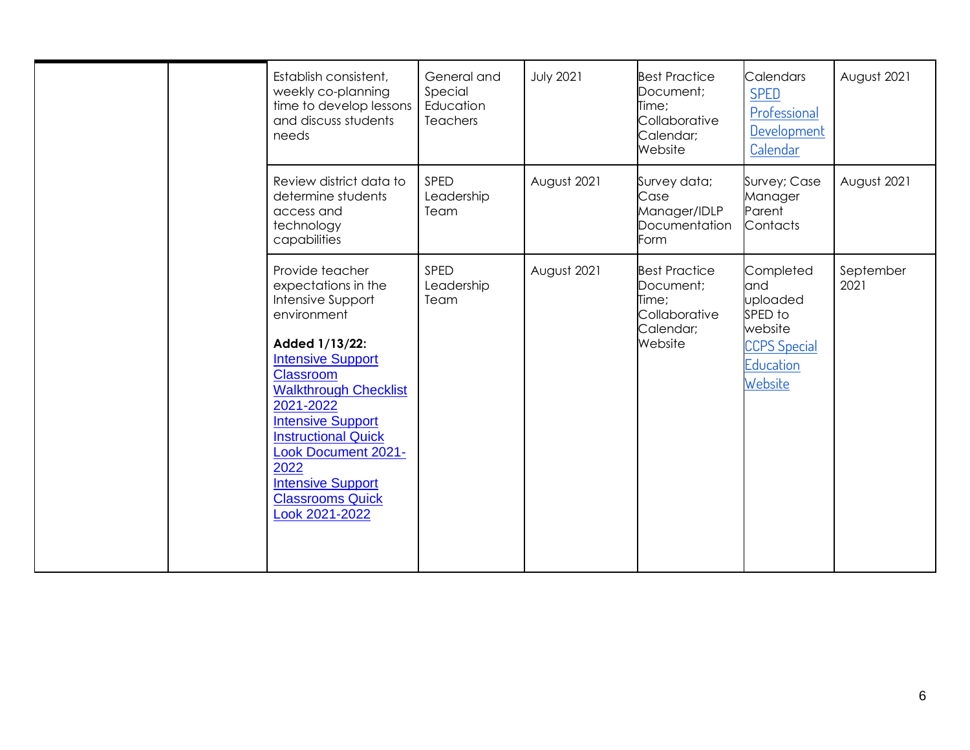| Establish consistent,<br>weekly co-planning<br>time to develop lessons<br>and discuss students<br>needs                                                                                                                                                                                                                                                            | General and<br>Special<br>Education<br><b>Teachers</b> | <b>July 2021</b> | <b>Best Practice</b><br>Document;<br>Time;<br>Collaborative<br>Calendar;<br>Website | <b>Calendars</b><br><b>SPED</b><br>Professional<br>Development<br>Calendar                        | August 2021       |
|--------------------------------------------------------------------------------------------------------------------------------------------------------------------------------------------------------------------------------------------------------------------------------------------------------------------------------------------------------------------|--------------------------------------------------------|------------------|-------------------------------------------------------------------------------------|---------------------------------------------------------------------------------------------------|-------------------|
| Review district data to<br>determine students<br>access and<br>technology<br>capabilities                                                                                                                                                                                                                                                                          | SPED<br>Leadership<br>Team                             | August 2021      | Survey data;<br>Case<br>Manager/IDLP<br>Documentation<br>Form                       | Survey; Case<br>Manager<br>Parent<br>Contacts                                                     | August 2021       |
| Provide teacher<br>expectations in the<br>Intensive Support<br>environment<br>Added 1/13/22:<br><b>Intensive Support</b><br><b>Classroom</b><br><b>Walkthrough Checklist</b><br>2021-2022<br><b>Intensive Support</b><br><b>Instructional Quick</b><br><b>Look Document 2021-</b><br>2022<br><b>Intensive Support</b><br><b>Classrooms Quick</b><br>Look 2021-2022 | SPED<br>Leadership<br>Team                             | August 2021      | <b>Best Practice</b><br>Document;<br>Time;<br>Collaborative<br>Calendar;<br>Website | Completed<br>and<br>uploaded<br>SPED to<br>website<br><b>CCPS Special</b><br>Education<br>Website | September<br>2021 |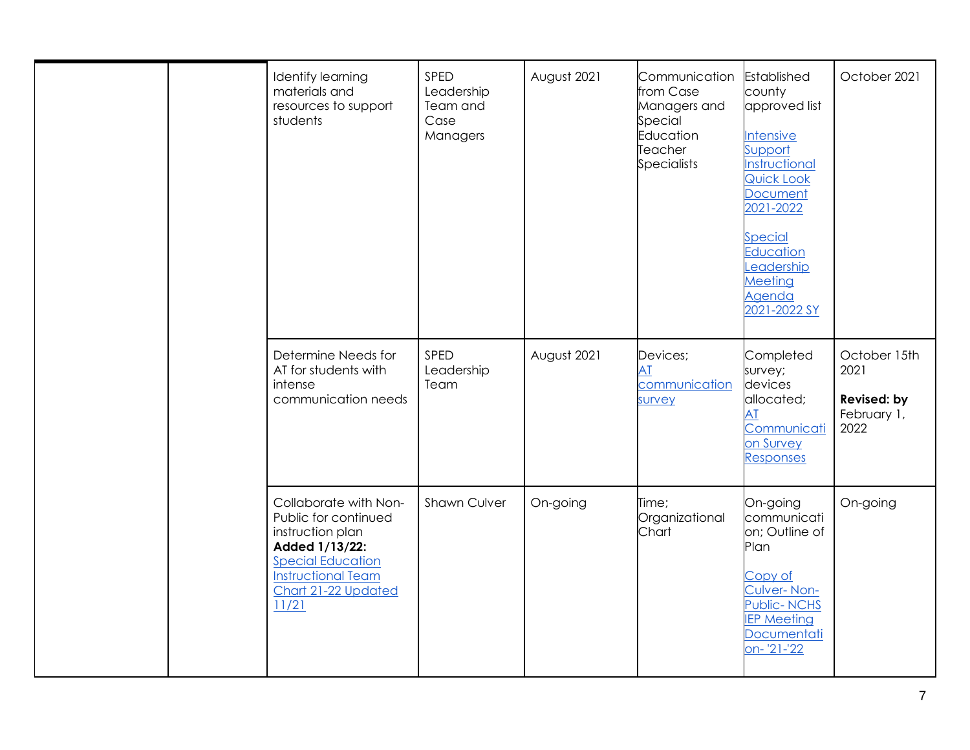|  | Identify learning<br>materials and<br>resources to support<br>students                                                                                                       | SPED<br>Leadership<br>Team and<br>Case<br>Managers | August 2021 | Communication<br>from Case<br>Managers and<br>Special<br>Education<br>Teacher<br><b>Specialists</b> | Established<br>county<br>approved list<br><b>Intensive</b><br>Support<br>Instructional<br>Quick Look<br><b>Document</b><br>2021-2022<br><b>Special</b><br><b>Education</b><br>eadership<br>Meeting<br>Agenda<br>2021-2022 SY | October 2021                                               |
|--|------------------------------------------------------------------------------------------------------------------------------------------------------------------------------|----------------------------------------------------|-------------|-----------------------------------------------------------------------------------------------------|------------------------------------------------------------------------------------------------------------------------------------------------------------------------------------------------------------------------------|------------------------------------------------------------|
|  | Determine Needs for<br>AT for students with<br>intense<br>communication needs                                                                                                | SPED<br>Leadership<br>Team                         | August 2021 | Devices;<br>AT<br>communication<br>survey                                                           | Completed<br>survey;<br>devices<br>allocated;<br>AT<br>Communicati<br>on Survey<br>Responses                                                                                                                                 | October 15th<br>2021<br>Revised: by<br>February 1,<br>2022 |
|  | Collaborate with Non-<br>Public for continued<br>instruction plan<br>Added 1/13/22:<br><b>Special Education</b><br><b>Instructional Team</b><br>Chart 21-22 Updated<br>11/21 | <b>Shawn Culver</b>                                | On-going    | Time;<br>Organizational<br>Chart                                                                    | On-going<br>communicati<br>on; Outline of<br>Plan<br>Copy of<br>Culver-Non-<br><b>Public-NCHS</b><br><b>IEP Meeting</b><br>Documentati<br>on-'21-'22                                                                         | On-going                                                   |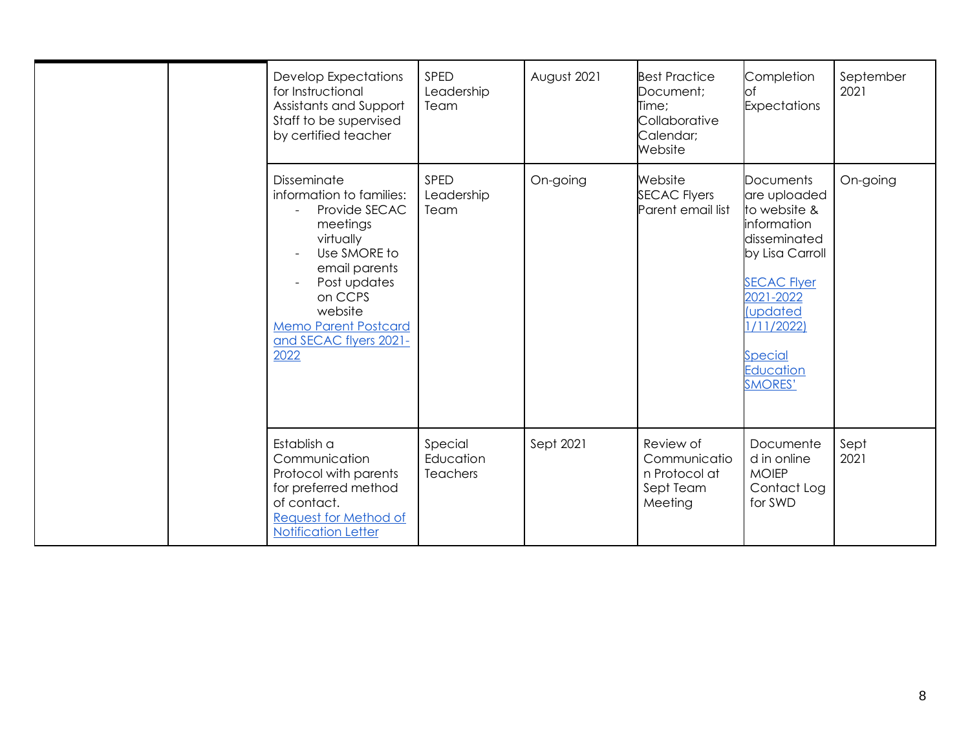|  | <b>Develop Expectations</b><br>for Instructional<br>Assistants and Support<br>Staff to be supervised<br>by certified teacher                                                                                              | SPED<br>Leadership<br>Team              | August 2021 | <b>Best Practice</b><br>Document;<br>Time;<br>Collaborative<br>Calendar;<br>Website | Completion<br>lof<br><b>Expectations</b>                                                                                                                                                                                | September<br>2021 |
|--|---------------------------------------------------------------------------------------------------------------------------------------------------------------------------------------------------------------------------|-----------------------------------------|-------------|-------------------------------------------------------------------------------------|-------------------------------------------------------------------------------------------------------------------------------------------------------------------------------------------------------------------------|-------------------|
|  | Disseminate<br>information to families:<br>Provide SECAC<br>meetings<br>virtually<br>Use SMORE to<br>email parents<br>Post updates<br>on CCPS<br>website<br><b>Memo Parent Postcard</b><br>and SECAC flyers 2021-<br>2022 | SPED<br>Leadership<br>Team              | On-going    | Website<br><b>SECAC Flyers</b><br>Parent email list                                 | <b>Documents</b><br>are uploaded<br>to website &<br>information<br>disseminated<br>by Lisa Carroll<br><b>SECAC Flyer</b><br>2021-2022<br><i>(updated</i><br>1/11/2022)<br><b>Special</b><br>Education<br><b>SMORES'</b> | On-going          |
|  | Establish a<br>Communication<br>Protocol with parents<br>for preferred method<br>of contact.<br>Request for Method of<br><b>Notification Letter</b>                                                                       | Special<br>Education<br><b>Teachers</b> | Sept 2021   | Review of<br>Communicatio<br>n Protocol at<br>Sept Team<br>Meeting                  | Documente<br>d in online<br><b>MOIEP</b><br>Contact Log<br>for SWD                                                                                                                                                      | Sept<br>2021      |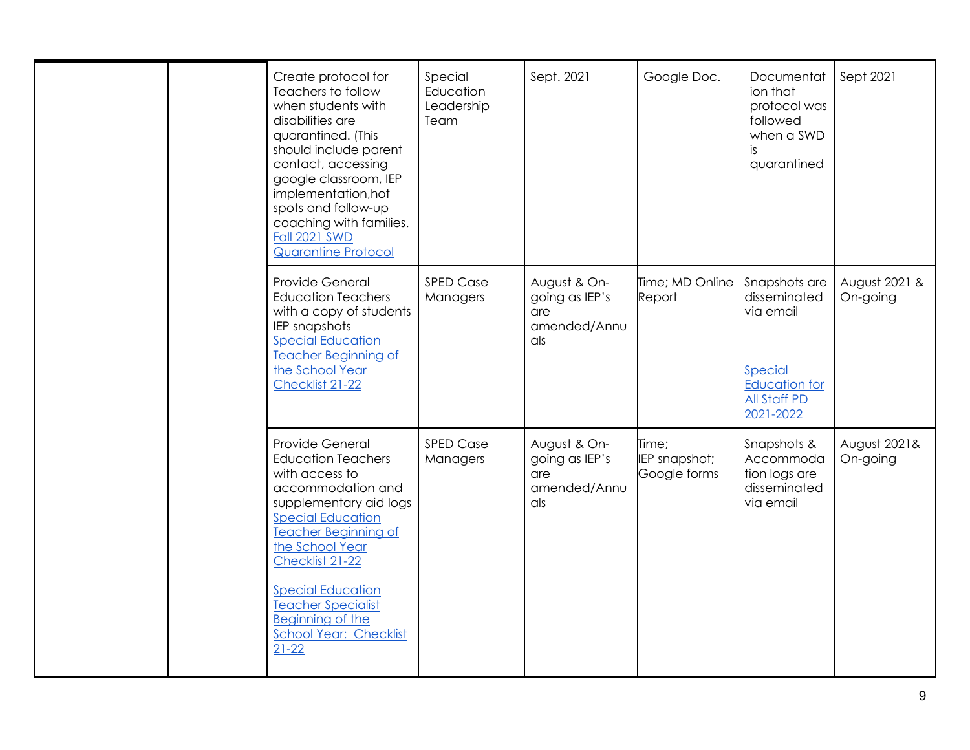|  | Create protocol for<br>Teachers to follow<br>when students with<br>disabilities are<br>quarantined. (This<br>should include parent<br>contact, accessing<br>google classroom, IEP<br>implementation, hot<br>spots and follow-up<br>coaching with families.<br><b>Fall 2021 SWD</b><br><b>Quarantine Protocol</b>                                 | Special<br>Education<br>Leadership<br>Team | Sept. 2021                                                   | Google Doc.                            | Documentat<br>ion that<br>protocol was<br>followed<br>when a SWD<br>is.<br>quarantined                            | Sept 2021                 |
|--|--------------------------------------------------------------------------------------------------------------------------------------------------------------------------------------------------------------------------------------------------------------------------------------------------------------------------------------------------|--------------------------------------------|--------------------------------------------------------------|----------------------------------------|-------------------------------------------------------------------------------------------------------------------|---------------------------|
|  | Provide General<br><b>Education Teachers</b><br>with a copy of students<br>IEP snapshots<br><b>Special Education</b><br><b>Teacher Beginning of</b><br>the School Year<br>Checklist 21-22                                                                                                                                                        | <b>SPED Case</b><br>Managers               | August & On-<br>going as IEP's<br>are<br>amended/Annu<br>als | Time; MD Online<br>Report              | Snapshots are<br>disseminated<br>via email<br>Special<br><b>Education for</b><br><b>All Staff PD</b><br>2021-2022 | August 2021 &<br>On-going |
|  | Provide General<br><b>Education Teachers</b><br>with access to<br>accommodation and<br>supplementary aid logs<br><b>Special Education</b><br><b>Teacher Beginning of</b><br>the School Year<br>Checklist 21-22<br><b>Special Education</b><br><b>Teacher Specialist</b><br><b>Beginning of the</b><br><b>School Year: Checklist</b><br>$21 - 22$ | <b>SPED Case</b><br>Managers               | August & On-<br>going as IEP's<br>are<br>amended/Annu<br>als | Time;<br>IEP snapshot;<br>Google forms | Snapshots &<br>Accommoda<br>tion logs are<br>disseminated<br>via email                                            | August 2021&<br>On-going  |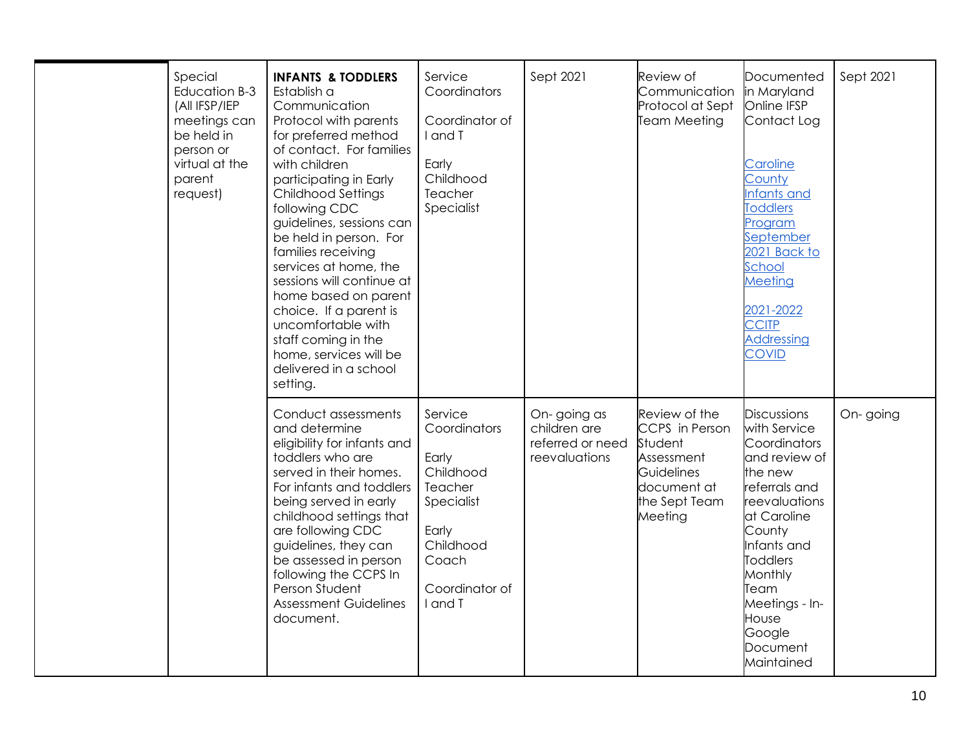| Special<br>Education B-3<br>(All IFSP/IEP<br>meetings can<br>be held in<br>person or<br>virtual at the<br>parent<br>request) | <b>INFANTS &amp; TODDLERS</b><br>Establish a<br>Communication<br>Protocol with parents<br>for preferred method<br>of contact. For families<br>with children<br>participating in Early<br><b>Childhood Settings</b><br>following CDC<br>guidelines, sessions can<br>be held in person. For<br>families receiving<br>services at home, the<br>sessions will continue at<br>home based on parent<br>choice. If a parent is<br>uncomfortable with<br>staff coming in the<br>home, services will be<br>delivered in a school<br>setting. | Service<br>Coordinators<br>Coordinator of<br>I and T<br>Early<br>Childhood<br>Teacher<br>Specialist                                | Sept 2021                                                        | Review of<br>Communication<br>Protocol at Sept<br><b>Team Meeting</b>                                             | Documented<br>in Maryland<br>Online IFSP<br>Contact Log<br>Caroline<br>County<br>Infants and<br><b>Toddlers</b><br>Program<br>September<br>2021 Back to<br>School<br>Meeting<br>2021-2022<br><b>CCITP</b><br>Addressing<br><b>COVID</b>                       | Sept 2021 |
|------------------------------------------------------------------------------------------------------------------------------|-------------------------------------------------------------------------------------------------------------------------------------------------------------------------------------------------------------------------------------------------------------------------------------------------------------------------------------------------------------------------------------------------------------------------------------------------------------------------------------------------------------------------------------|------------------------------------------------------------------------------------------------------------------------------------|------------------------------------------------------------------|-------------------------------------------------------------------------------------------------------------------|---------------------------------------------------------------------------------------------------------------------------------------------------------------------------------------------------------------------------------------------------------------|-----------|
|                                                                                                                              | Conduct assessments<br>and determine<br>eligibility for infants and<br>toddlers who are<br>served in their homes.<br>For infants and toddlers<br>being served in early<br>childhood settings that<br>are following CDC<br>guidelines, they can<br>be assessed in person<br>following the CCPS In<br>Person Student<br><b>Assessment Guidelines</b><br>document.                                                                                                                                                                     | Service<br>Coordinators<br>Early<br>Childhood<br>Teacher<br>Specialist<br>Early<br>Childhood<br>Coach<br>Coordinator of<br>I and T | On-going as<br>children are<br>referred or need<br>reevaluations | Review of the<br>CCPS in Person<br>Student<br>Assessment<br>Guidelines<br>document at<br>the Sept Team<br>Meeting | <b>Discussions</b><br>with Service<br>Coordinators<br>and review of<br>the new<br>referrals and<br>reevaluations<br>at Caroline<br>County<br>Infants and<br><b>Toddlers</b><br>Monthly<br>Team<br>Meetings - In-<br>House<br>Google<br>Document<br>Maintained | On-going  |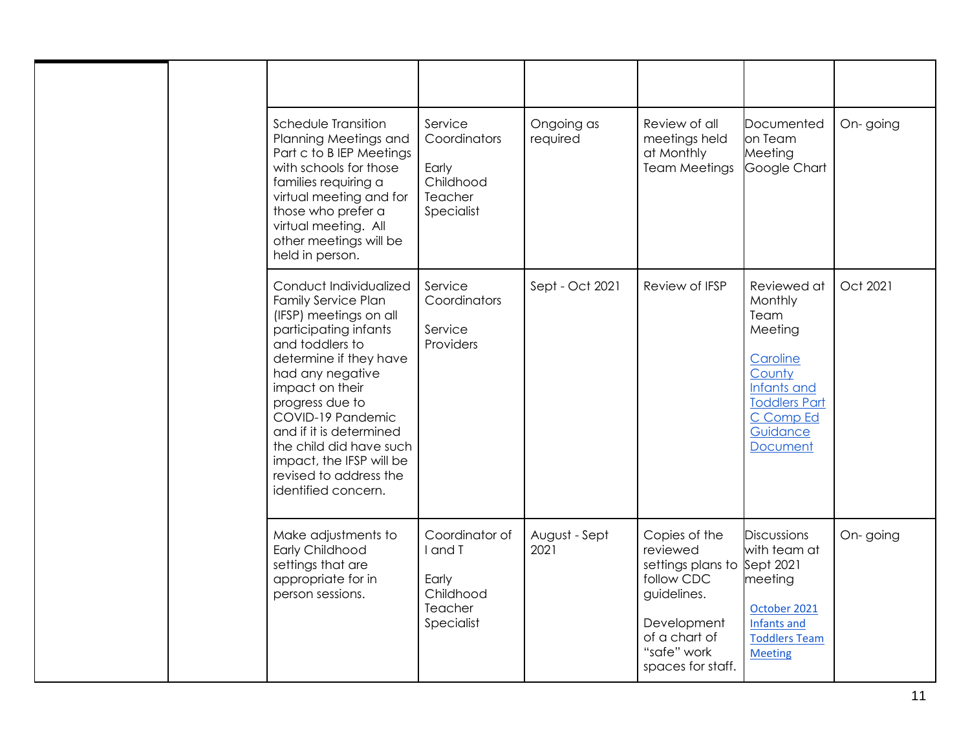|  | Schedule Transition<br>Planning Meetings and<br>Part c to B IEP Meetings<br>with schools for those<br>families requiring a<br>virtual meeting and for<br>those who prefer a<br>virtual meeting. All<br>other meetings will be<br>held in person.                                                                                                                       | Service<br>Coordinators<br>Early<br>Childhood<br>Teacher<br>Specialist   | Ongoing as<br>required | Review of all<br>meetings held<br>at Monthly<br><b>Team Meetings</b>                                                                                      | Documented<br>on Team<br>Meeting<br>Google Chart                                                                                                   | On-going |
|--|------------------------------------------------------------------------------------------------------------------------------------------------------------------------------------------------------------------------------------------------------------------------------------------------------------------------------------------------------------------------|--------------------------------------------------------------------------|------------------------|-----------------------------------------------------------------------------------------------------------------------------------------------------------|----------------------------------------------------------------------------------------------------------------------------------------------------|----------|
|  | Conduct Individualized<br><b>Family Service Plan</b><br>(IFSP) meetings on all<br>participating infants<br>and toddlers to<br>determine if they have<br>had any negative<br>impact on their<br>progress due to<br>COVID-19 Pandemic<br>and if it is determined<br>the child did have such<br>impact, the IFSP will be<br>revised to address the<br>identified concern. | Service<br>Coordinators<br>Service<br>Providers                          | Sept - Oct 2021        | Review of IFSP                                                                                                                                            | Reviewed at<br>Monthly<br>Team<br>Meeting<br>Caroline<br>County<br>Infants and<br><b>Toddlers Part</b><br>C Comp Ed<br>Guidance<br><b>Document</b> | Oct 2021 |
|  | Make adjustments to<br>Early Childhood<br>settings that are<br>appropriate for in<br>person sessions.                                                                                                                                                                                                                                                                  | Coordinator of<br>I and T<br>Early<br>Childhood<br>Teacher<br>Specialist | August - Sept<br>2021  | Copies of the<br>reviewed<br>settings plans to Sept 2021<br>follow CDC<br>guidelines.<br>Development<br>of a chart of<br>"safe" work<br>spaces for staff. | <b>Discussions</b><br>with team at<br>meeting<br>October 2021<br>Infants and<br><b>Toddlers Team</b><br><b>Meeting</b>                             | On-going |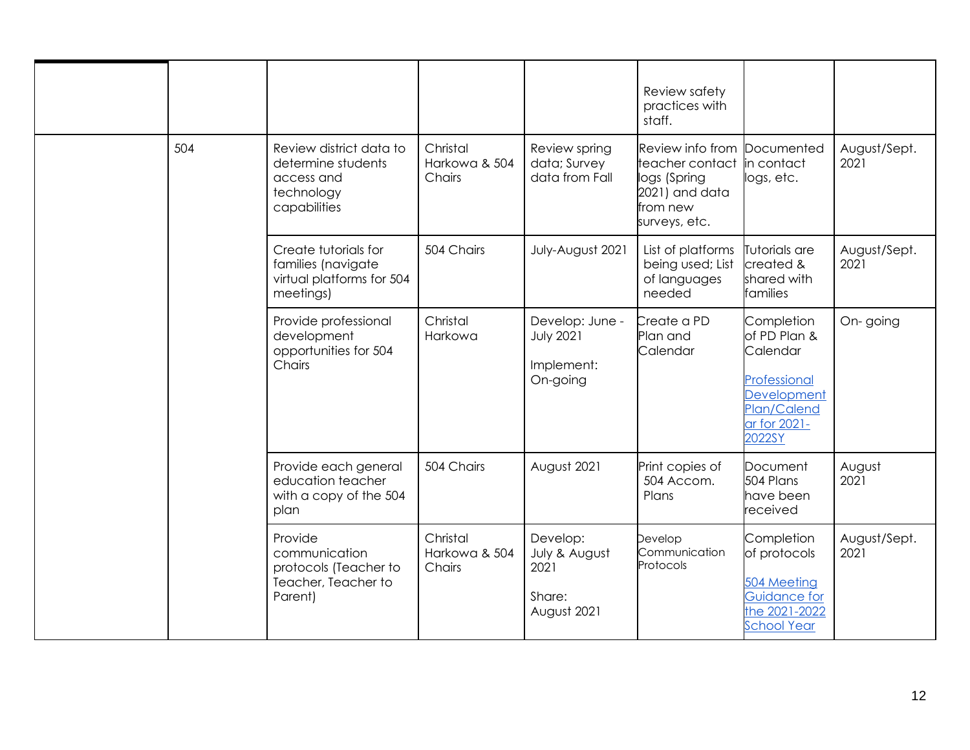|  | 504 | Review district data to<br>determine students<br>access and<br>technology<br>capabilities | Christal<br>Harkowa & 504<br>Chairs | Review spring<br>data; Survey<br>data from Fall               | Review safety<br>practices with<br>staff.<br>Review info from Documented<br>teacher contact<br>logs (Spring<br>2021) and data<br>from new<br>surveys, etc. | in contact<br>logs, etc.                                                                                       | August/Sept.<br>2021 |
|--|-----|-------------------------------------------------------------------------------------------|-------------------------------------|---------------------------------------------------------------|------------------------------------------------------------------------------------------------------------------------------------------------------------|----------------------------------------------------------------------------------------------------------------|----------------------|
|  |     | Create tutorials for<br>families (navigate<br>virtual platforms for 504<br>meetings)      | 504 Chairs                          | July-August 2021                                              | List of platforms<br>being used; List<br>of languages<br>needed                                                                                            | Tutorials are<br>created &<br>shared with<br>families                                                          | August/Sept.<br>2021 |
|  |     | Provide professional<br>development<br>opportunities for 504<br>Chairs                    | Christal<br>Harkowa                 | Develop: June -<br><b>July 2021</b><br>Implement:<br>On-going | Create a PD<br>Plan and<br>Calendar                                                                                                                        | Completion<br>of PD Plan &<br>Calendar<br>Professional<br>Development<br>Plan/Calend<br>ar for 2021-<br>2022SY | On-going             |
|  |     | Provide each general<br>education teacher<br>with a copy of the 504<br>plan               | 504 Chairs                          | August 2021                                                   | Print copies of<br>504 Accom.<br>Plans                                                                                                                     | Document<br>504 Plans<br>have been<br>received                                                                 | August<br>2021       |
|  |     | Provide<br>communication<br>protocols (Teacher to<br>Teacher, Teacher to<br>Parent)       | Christal<br>Harkowa & 504<br>Chairs | Develop:<br>July & August<br>2021<br>Share:<br>August 2021    | Develop<br>Communication<br>Protocols                                                                                                                      | Completion<br>of protocols<br>504 Meeting<br>Guidance for<br>the 2021-2022<br><b>School Year</b>               | August/Sept.<br>2021 |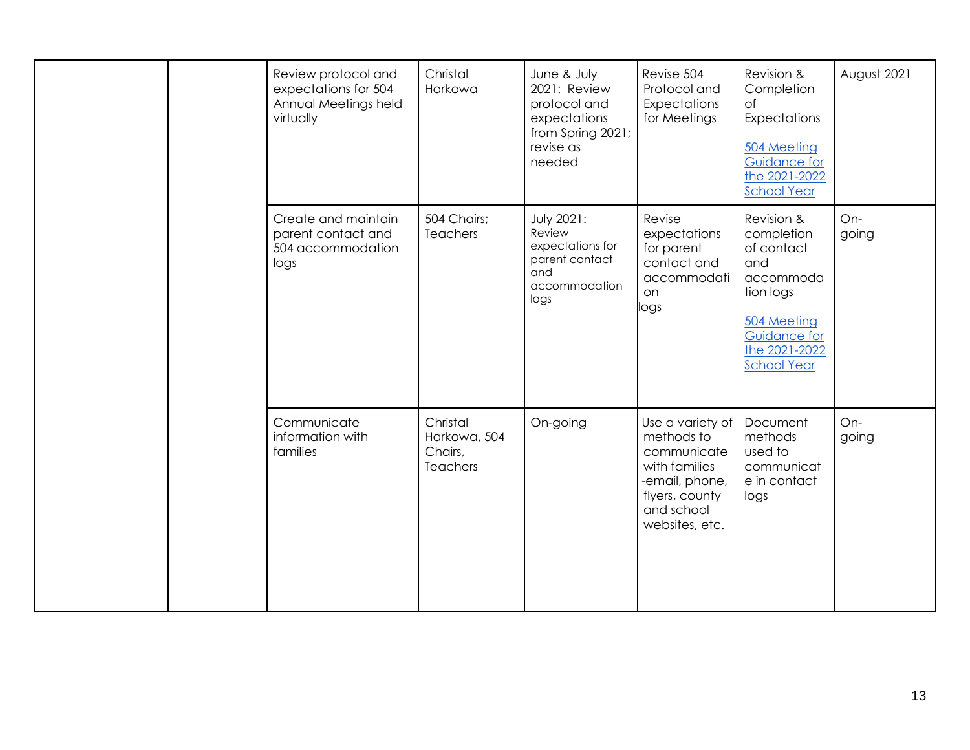|  |                                                                        | Review protocol and<br>expectations for 504<br>Annual Meetings held<br>virtually | Christal<br>Harkowa                                                                               | June & July<br>2021: Review<br>protocol and<br>expectations<br>from Spring 2021;<br>revise as<br>needed | Revise 504<br>Protocol and<br>Expectations<br>for Meetings                                                                                    | Revision &<br>Completion<br><b>l</b> of<br><b>Expectations</b><br>504 Meeting<br>Guidance for<br>the 2021-2022<br><b>School Year</b> | August 2021  |
|--|------------------------------------------------------------------------|----------------------------------------------------------------------------------|---------------------------------------------------------------------------------------------------|---------------------------------------------------------------------------------------------------------|-----------------------------------------------------------------------------------------------------------------------------------------------|--------------------------------------------------------------------------------------------------------------------------------------|--------------|
|  | Create and maintain<br>parent contact and<br>504 accommodation<br>logs | 504 Chairs;<br><b>Teachers</b>                                                   | <b>July 2021:</b><br>Review<br>expectations for<br>parent contact<br>and<br>accommodation<br>logs | Revise<br>expectations<br>for parent<br>contact and<br>accommodati<br>on<br>logs                        | Revision &<br>completion<br>of contact<br>and<br>accommoda<br>tion logs<br>504 Meeting<br>Guidance for<br>the 2021-2022<br><b>School Year</b> | On-<br>going                                                                                                                         |              |
|  |                                                                        | Communicate<br>information with<br>families                                      | Christal<br>Harkowa, 504<br>Chairs,<br><b>Teachers</b>                                            | On-going                                                                                                | Use a variety of<br>methods to<br>communicate<br>with families<br>-email, phone,<br>flyers, county<br>and school<br>websites, etc.            | Document<br>methods<br>used to<br>communicat<br>e in contact<br>logs                                                                 | On-<br>going |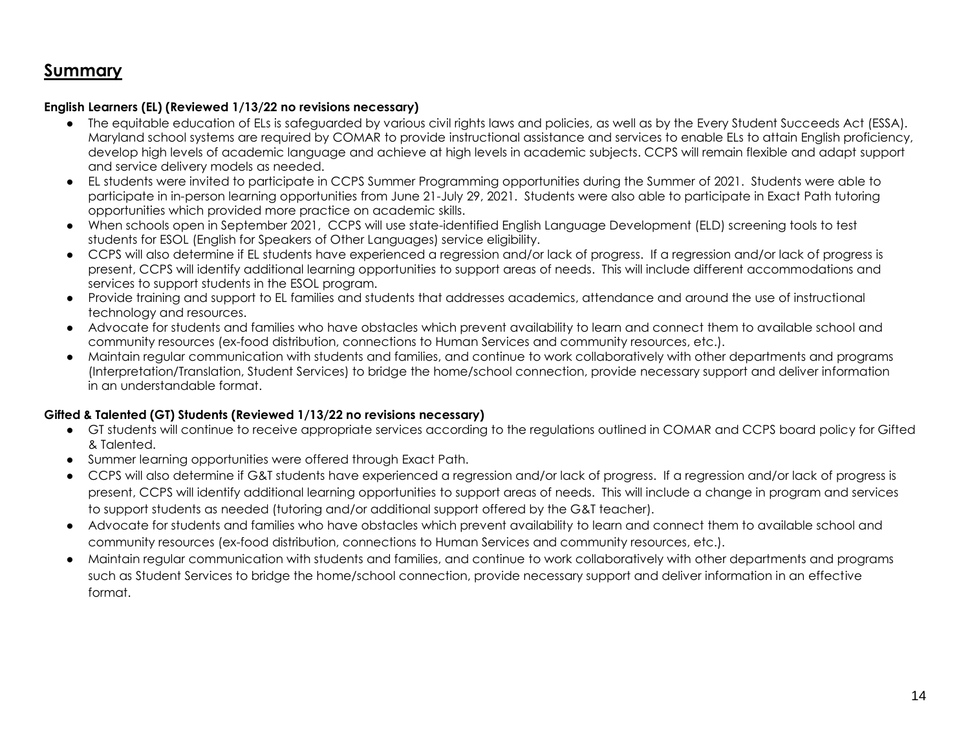### **Summary**

### **English Learners (EL) (Reviewed 1/13/22 no revisions necessary)**

- The equitable education of ELs is safeguarded by various civil rights laws and policies, as well as by the Every Student Succeeds Act (ESSA). Maryland school systems are required by COMAR to provide instructional assistance and services to enable ELs to attain English proficiency, develop high levels of academic language and achieve at high levels in academic subjects. CCPS will remain flexible and adapt support and service delivery models as needed.
- EL students were invited to participate in CCPS Summer Programming opportunities during the Summer of 2021. Students were able to participate in in-person learning opportunities from June 21-July 29, 2021. Students were also able to participate in Exact Path tutoring opportunities which provided more practice on academic skills.
- When schools open in September 2021, CCPS will use state-identified English Language Development (ELD) screening tools to test students for ESOL (English for Speakers of Other Languages) service eligibility.
- CCPS will also determine if EL students have experienced a regression and/or lack of progress. If a regression and/or lack of progress is present, CCPS will identify additional learning opportunities to support areas of needs. This will include different accommodations and services to support students in the ESOL program.
- Provide training and support to EL families and students that addresses academics, attendance and around the use of instructional technology and resources.
- Advocate for students and families who have obstacles which prevent availability to learn and connect them to available school and community resources (ex-food distribution, connections to Human Services and community resources, etc.).
- Maintain regular communication with students and families, and continue to work collaboratively with other departments and programs (Interpretation/Translation, Student Services) to bridge the home/school connection, provide necessary support and deliver information in an understandable format.

### **Gifted & Talented (GT) Students (Reviewed 1/13/22 no revisions necessary)**

- GT students will continue to receive appropriate services according to the regulations outlined in COMAR and CCPS board policy for Gifted & Talented.
- Summer learning opportunities were offered through Exact Path.
- CCPS will also determine if G&T students have experienced a regression and/or lack of progress. If a regression and/or lack of progress is present, CCPS will identify additional learning opportunities to support areas of needs. This will include a change in program and services to support students as needed (tutoring and/or additional support offered by the G&T teacher).
- Advocate for students and families who have obstacles which prevent availability to learn and connect them to available school and community resources (ex-food distribution, connections to Human Services and community resources, etc.).
- Maintain regular communication with students and families, and continue to work collaboratively with other departments and programs such as Student Services to bridge the home/school connection, provide necessary support and deliver information in an effective format.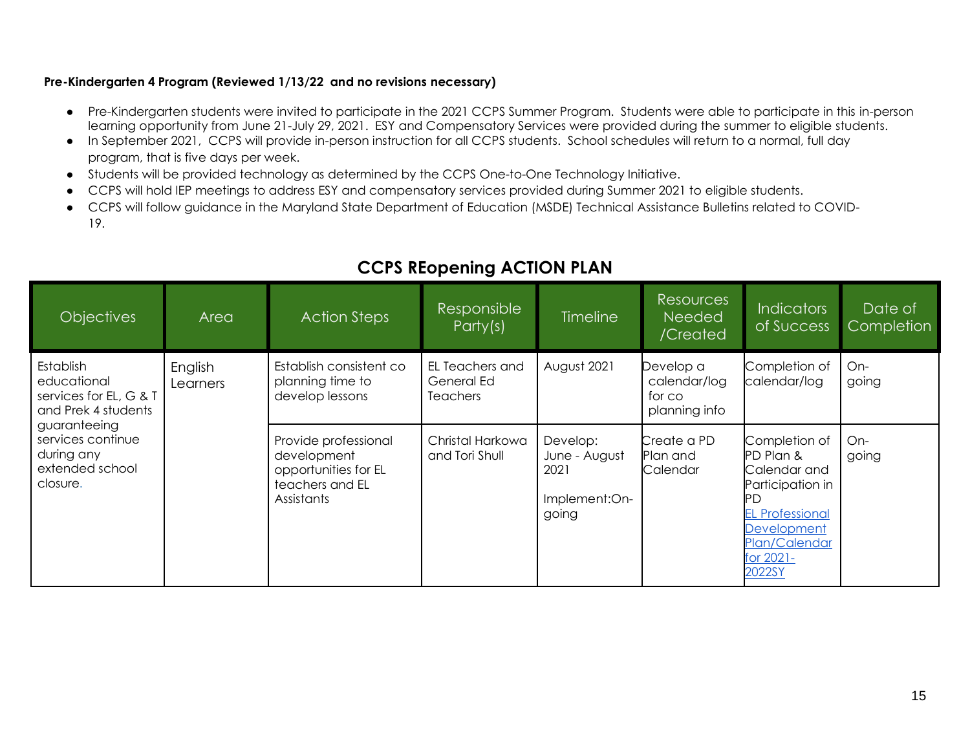### **Pre-Kindergarten 4 Program (Reviewed 1/13/22 and no revisions necessary)**

- Pre-Kindergarten students were invited to participate in the 2021 CCPS Summer Program. Students were able to participate in this in-person learning opportunity from June 21-July 29, 2021. ESY and Compensatory Services were provided during the summer to eligible students.
- In September 2021, CCPS will provide in-person instruction for all CCPS students. School schedules will return to a normal, full day program, that is five days per week.
- Students will be provided technology as determined by the CCPS One-to-One Technology Initiative.
- CCPS will hold IEP meetings to address ESY and compensatory services provided during Summer 2021 to eligible students.
- CCPS will follow guidance in the Maryland State Department of Education (MSDE) Technical Assistance Bulletins related to COVID-19.

| <b>Objectives</b>                                                                | Area                | <b>Action Steps</b>                                                                          | Responsible<br>Party(s)                          | <b>Timeline</b>                                             | <b>Resources</b><br><b>Needed</b><br>/Created        | <b>Indicators</b><br>of Success                                                                                                                 | Date of<br>Completion |
|----------------------------------------------------------------------------------|---------------------|----------------------------------------------------------------------------------------------|--------------------------------------------------|-------------------------------------------------------------|------------------------------------------------------|-------------------------------------------------------------------------------------------------------------------------------------------------|-----------------------|
| <b>Establish</b><br>educational<br>services for EL, G & T<br>and Prek 4 students | English<br>Learners | Establish consistent co<br>planning time to<br>develop lessons                               | EL Teachers and<br>General Ed<br><b>Teachers</b> | August 2021                                                 | Develop a<br>calendar/log<br>for co<br>planning info | Completion of<br>calendar/log                                                                                                                   | On-<br>going          |
| guaranteeing<br>services continue<br>during any<br>extended school<br>closure.   |                     | Provide professional<br>development<br>opportunities for EL<br>teachers and EL<br>Assistants | Christal Harkowa<br>and Tori Shull               | Develop:<br>June - August<br>2021<br>Implement:On-<br>going | Create a PD<br>Plan and<br>Calendar                  | Completion of<br>PD Plan &<br>Calendar and<br>Participation in<br><b>EL Professional</b><br>Development<br>Plan/Calendar<br>for 2021-<br>2022SY | On-<br>going          |

### **CCPS REopening ACTION PLAN**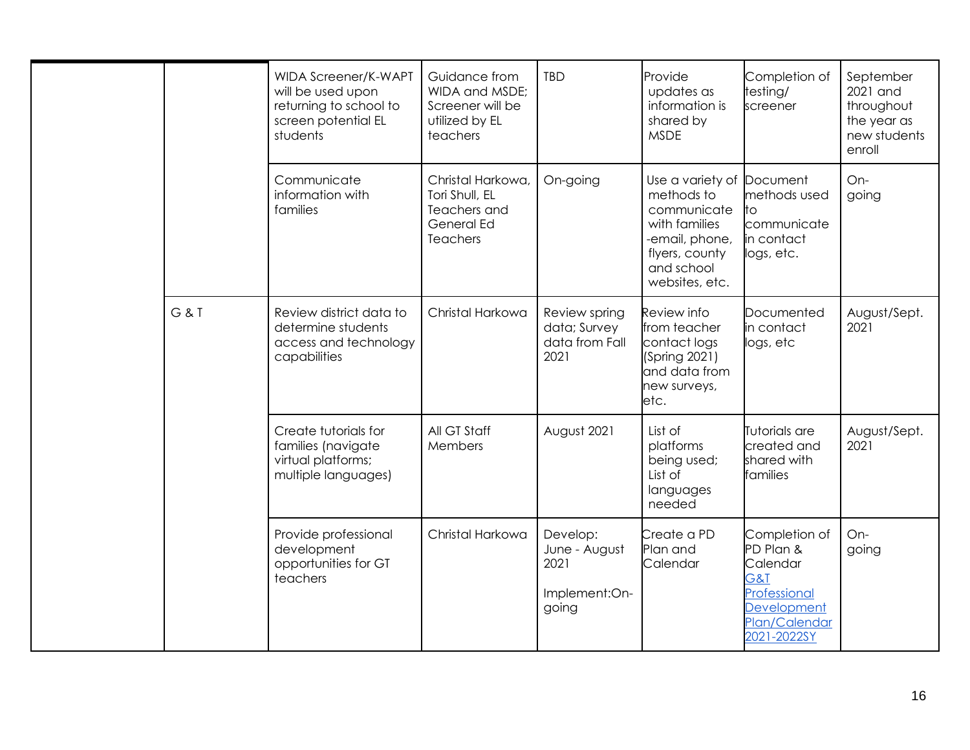|  |     | WIDA Screener/K-WAPT<br>will be used upon<br>returning to school to<br>screen potential EL<br>students | Guidance from<br>WIDA and MSDE;<br>Screener will be<br>utilized by EL<br>teachers    | <b>TBD</b>                                                  | Provide<br>updates as<br>information is<br>shared by<br><b>MSDE</b>                                                                | Completion of<br>testing/<br>screener                                                                               | September<br>2021 and<br>throughout<br>the year as<br>new students<br>enroll |
|--|-----|--------------------------------------------------------------------------------------------------------|--------------------------------------------------------------------------------------|-------------------------------------------------------------|------------------------------------------------------------------------------------------------------------------------------------|---------------------------------------------------------------------------------------------------------------------|------------------------------------------------------------------------------|
|  |     | Communicate<br>information with<br>families                                                            | Christal Harkowa,<br>Tori Shull, EL<br>Teachers and<br>General Ed<br><b>Teachers</b> | On-going                                                    | Use a variety of<br>methods to<br>communicate<br>with families<br>-email, phone,<br>flyers, county<br>and school<br>websites, etc. | Document<br>methods used<br>to<br>communicate<br>in contact<br>logs, etc.                                           | On-<br>going                                                                 |
|  | G&T | Review district data to<br>determine students<br>access and technology<br>capabilities                 | Christal Harkowa                                                                     | Review spring<br>data; Survey<br>data from Fall<br>2021     | Review info<br>from teacher<br>contact logs<br>(Spring 2021)<br>and data from<br>new surveys,<br>etc.                              | Documented<br>in contact<br>logs, etc                                                                               | August/Sept.<br>2021                                                         |
|  |     | Create tutorials for<br>families (navigate<br>virtual platforms;<br>multiple languages)                | All GT Staff<br>Members                                                              | August 2021                                                 | List of<br>platforms<br>being used;<br>List of<br>languages<br>needed                                                              | Tutorials are<br>created and<br>shared with<br>families                                                             | August/Sept.<br>2021                                                         |
|  |     | Provide professional<br>development<br>opportunities for GT<br>teachers                                | Christal Harkowa                                                                     | Develop:<br>June - August<br>2021<br>Implement:On-<br>going | Create a PD<br>Plan and<br>Calendar                                                                                                | Completion of<br>PD Plan &<br>Calendar<br>G&T<br><b>Professional</b><br>Development<br>Plan/Calendar<br>2021-2022SY | On-<br>going                                                                 |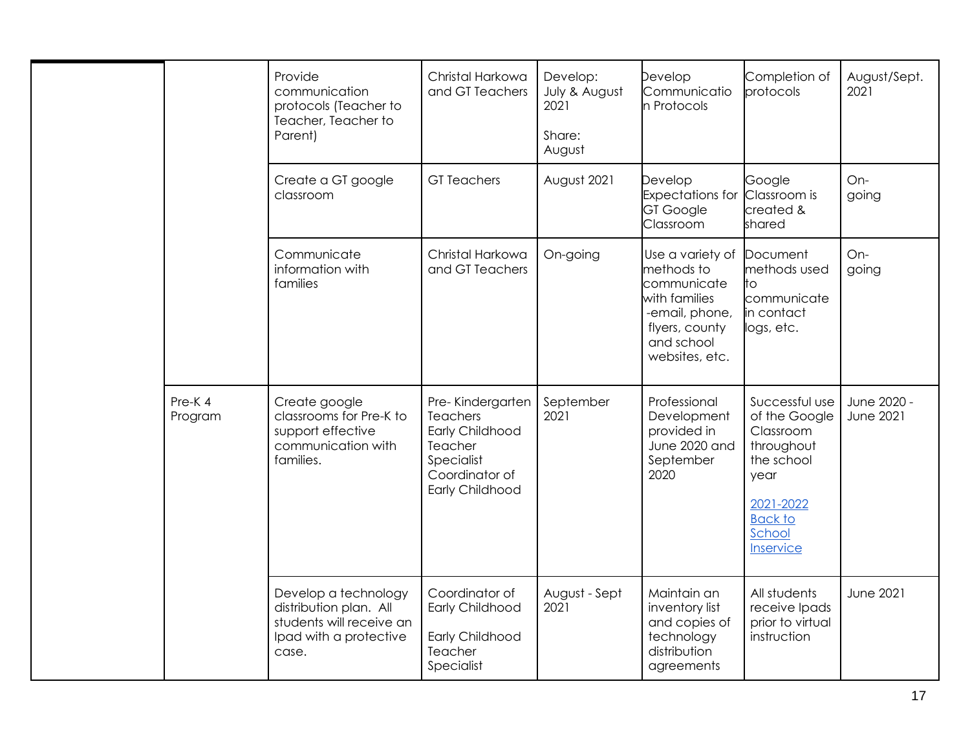|                   | Provide<br>communication<br>protocols (Teacher to<br>Teacher, Teacher to<br>Parent)                           | Christal Harkowa<br>and GT Teachers                                                                           | Develop:<br>July & August<br>2021<br>Share:<br>August | Develop<br>Communicatio<br>n Protocols                                                                                             | Completion of<br>protocols                                                                                                             | August/Sept.<br>2021            |
|-------------------|---------------------------------------------------------------------------------------------------------------|---------------------------------------------------------------------------------------------------------------|-------------------------------------------------------|------------------------------------------------------------------------------------------------------------------------------------|----------------------------------------------------------------------------------------------------------------------------------------|---------------------------------|
|                   | Create a GT google<br>classroom                                                                               | <b>GT</b> Teachers                                                                                            | August 2021                                           | Develop<br><b>Expectations for</b><br><b>GT Google</b><br>Classroom                                                                | Google<br>Classroom is<br>created &<br>shared                                                                                          | On-<br>going                    |
|                   | Communicate<br>information with<br>families                                                                   | Christal Harkowa<br>and GT Teachers                                                                           | On-going                                              | Use a variety of<br>methods to<br>communicate<br>with families<br>-email, phone,<br>flyers, county<br>and school<br>websites, etc. | Document<br>methods used<br>to<br>communicate<br>in contact<br>logs, etc.                                                              | On-<br>going                    |
| Pre-K4<br>Program | Create google<br>classrooms for Pre-K to<br>support effective<br>communication with<br>families.              | Pre-Kindergarten<br>Teachers<br>Early Childhood<br>Teacher<br>Specialist<br>Coordinator of<br>Early Childhood | September<br>2021                                     | Professional<br>Development<br>provided in<br>June 2020 and<br>September<br>2020                                                   | Successful use<br>of the Google<br>Classroom<br>throughout<br>the school<br>year<br>2021-2022<br><b>Back to</b><br>School<br>Inservice | June 2020 -<br><b>June 2021</b> |
|                   | Develop a technology<br>distribution plan. All<br>students will receive an<br>Ipad with a protective<br>case. | Coordinator of<br>Early Childhood<br>Early Childhood<br>Teacher<br>Specialist                                 | August - Sept<br>2021                                 | Maintain an<br>inventory list<br>and copies of<br>technology<br>distribution<br>agreements                                         | All students<br>receive Ipads<br>prior to virtual<br>instruction                                                                       | <b>June 2021</b>                |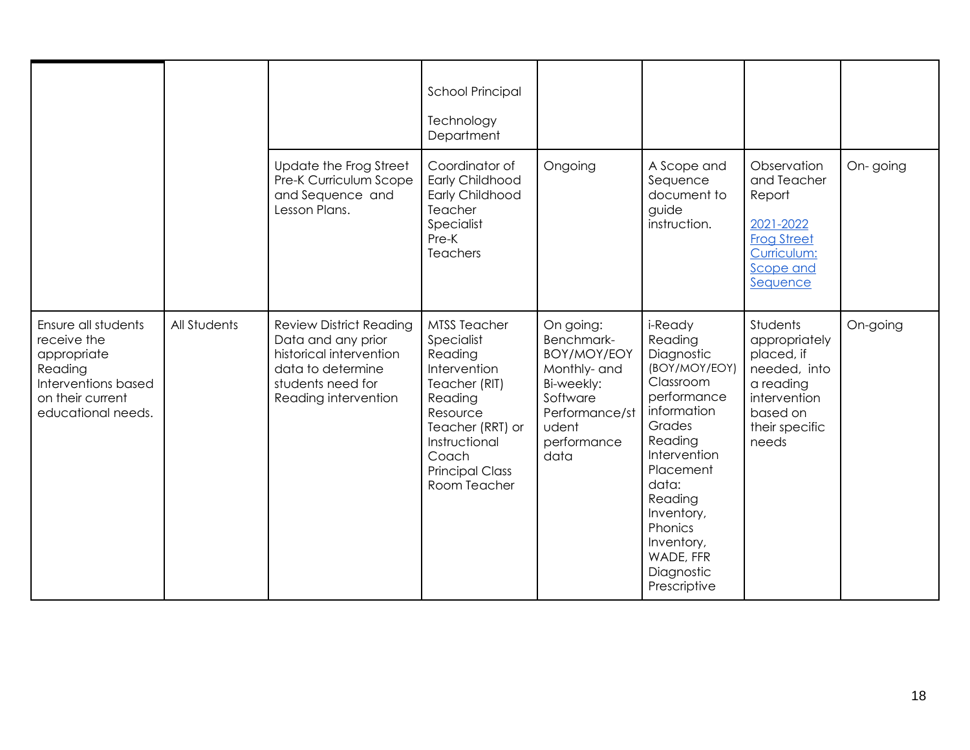|                                                                                                                               |              |                                                                                                                                                   | <b>School Principal</b><br>Technology<br>Department                                                                                                                                          |                                                                                                                                    |                                                                                                                                                                                                                                                      |                                                                                                                             |          |
|-------------------------------------------------------------------------------------------------------------------------------|--------------|---------------------------------------------------------------------------------------------------------------------------------------------------|----------------------------------------------------------------------------------------------------------------------------------------------------------------------------------------------|------------------------------------------------------------------------------------------------------------------------------------|------------------------------------------------------------------------------------------------------------------------------------------------------------------------------------------------------------------------------------------------------|-----------------------------------------------------------------------------------------------------------------------------|----------|
|                                                                                                                               |              | Update the Frog Street<br>Pre-K Curriculum Scope<br>and Sequence and<br>Lesson Plans.                                                             | Coordinator of<br>Early Childhood<br>Early Childhood<br>Teacher<br>Specialist<br>Pre-K<br>Teachers                                                                                           | Ongoing                                                                                                                            | A Scope and<br>Sequence<br>document to<br>guide<br>instruction.                                                                                                                                                                                      | Observation<br>and Teacher<br>Report<br>2021-2022<br><b>Frog Street</b><br>Curriculum:<br>Scope and<br>Sequence             | On-going |
| Ensure all students<br>receive the<br>appropriate<br>Reading<br>Interventions based<br>on their current<br>educational needs. | All Students | <b>Review District Reading</b><br>Data and any prior<br>historical intervention<br>data to determine<br>students need for<br>Reading intervention | <b>MTSS Teacher</b><br>Specialist<br>Reading<br>Intervention<br>Teacher (RIT)<br>Reading<br>Resource<br>Teacher (RRT) or<br>Instructional<br>Coach<br><b>Principal Class</b><br>Room Teacher | On going:<br>Benchmark-<br>BOY/MOY/EOY<br>Monthly- and<br>Bi-weekly:<br>Software<br>Performance/st<br>udent<br>performance<br>data | i-Ready<br>Reading<br>Diagnostic<br>(BOY/MOY/EOY)<br>Classroom<br>performance<br>information<br>Grades<br>Reading<br>Intervention<br>Placement<br>data:<br>Reading<br>Inventory,<br>Phonics<br>Inventory,<br>WADE, FFR<br>Diagnostic<br>Prescriptive | Students<br>appropriately<br>placed, if<br>needed, into<br>a reading<br>intervention<br>based on<br>their specific<br>needs | On-going |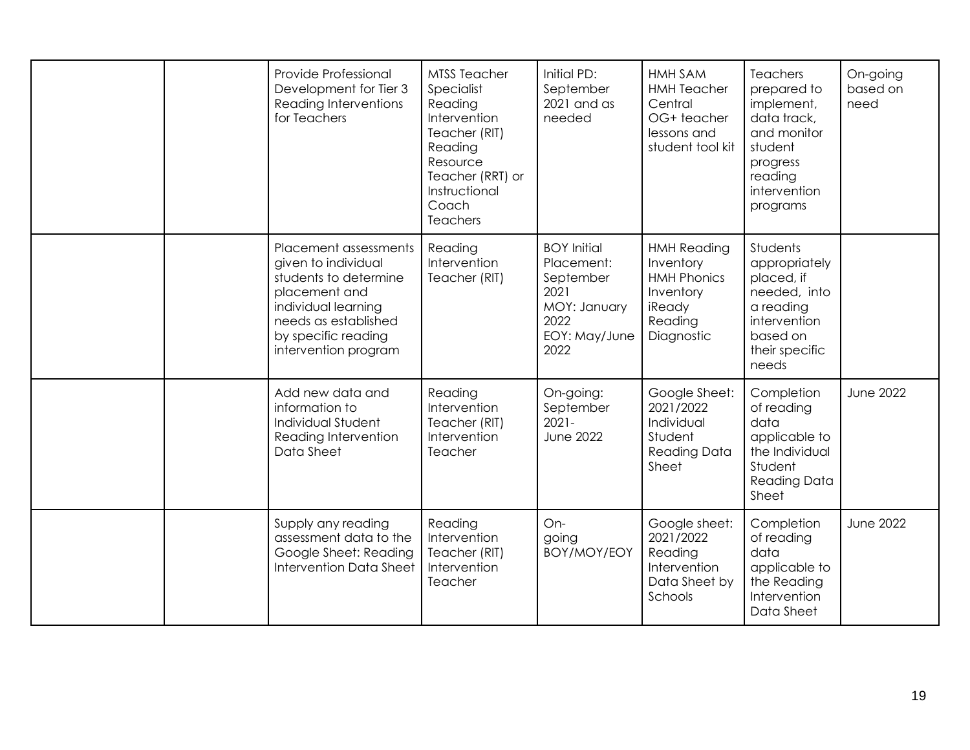|  | Provide Professional<br>Development for Tier 3<br>Reading Interventions<br>for Teachers                                                                                              | <b>MTSS Teacher</b><br>Specialist<br>Reading<br>Intervention<br>Teacher (RIT)<br>Reading<br>Resource<br>Teacher (RRT) or<br>Instructional<br>Coach<br>Teachers | Initial PD:<br>September<br>2021 and as<br>needed                                                      | HMH SAM<br><b>HMH Teacher</b><br>Central<br>OG+ teacher<br>lessons and<br>student tool kit            | <b>Teachers</b><br>prepared to<br>implement,<br>data track,<br>and monitor<br>student<br>progress<br>reading<br>intervention<br>programs | On-going<br>based on<br>need |
|--|--------------------------------------------------------------------------------------------------------------------------------------------------------------------------------------|----------------------------------------------------------------------------------------------------------------------------------------------------------------|--------------------------------------------------------------------------------------------------------|-------------------------------------------------------------------------------------------------------|------------------------------------------------------------------------------------------------------------------------------------------|------------------------------|
|  | Placement assessments<br>given to individual<br>students to determine<br>placement and<br>individual learning<br>needs as established<br>by specific reading<br>intervention program | Reading<br>Intervention<br>Teacher (RIT)                                                                                                                       | <b>BOY Initial</b><br>Placement:<br>September<br>2021<br>MOY: January<br>2022<br>EOY: May/June<br>2022 | <b>HMH Reading</b><br>Inventory<br><b>HMH Phonics</b><br>Inventory<br>iReady<br>Reading<br>Diagnostic | Students<br>appropriately<br>placed, if<br>needed, into<br>a reading<br>intervention<br>based on<br>their specific<br>needs              |                              |
|  | Add new data and<br>information to<br>Individual Student<br>Reading Intervention<br>Data Sheet                                                                                       | Reading<br>Intervention<br>Teacher (RIT)<br>Intervention<br>Teacher                                                                                            | On-going:<br>September<br>$2021 -$<br><b>June 2022</b>                                                 | Google Sheet:<br>2021/2022<br>Individual<br>Student<br><b>Reading Data</b><br>Sheet                   | Completion<br>of reading<br>data<br>applicable to<br>the Individual<br>Student<br><b>Reading Data</b><br>Sheet                           | <b>June 2022</b>             |
|  | Supply any reading<br>assessment data to the<br>Google Sheet: Reading<br>Intervention Data Sheet                                                                                     | Reading<br>Intervention<br>Teacher (RIT)<br>Intervention<br>Teacher                                                                                            | On-<br>going<br>BOY/MOY/EOY                                                                            | Google sheet:<br>2021/2022<br>Reading<br>Intervention<br>Data Sheet by<br>Schools                     | Completion<br>of reading<br>data<br>applicable to<br>the Reading<br>Intervention<br>Data Sheet                                           | <b>June 2022</b>             |